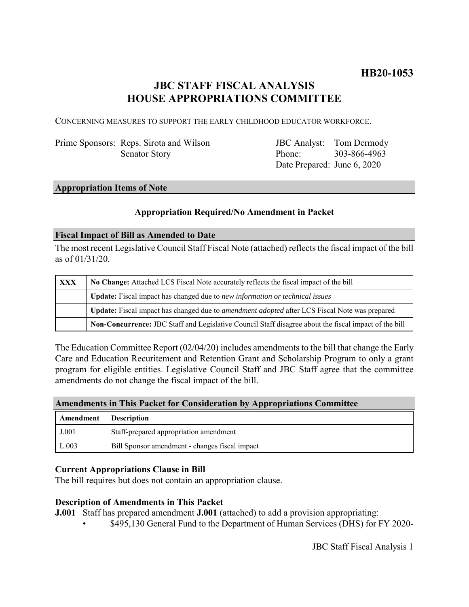# **JBC STAFF FISCAL ANALYSIS HOUSE APPROPRIATIONS COMMITTEE**

CONCERNING MEASURES TO SUPPORT THE EARLY CHILDHOOD EDUCATOR WORKFORCE.

Prime Sponsors: Reps. Sirota and Wilson Senator Story

JBC Analyst: Tom Dermody Phone: Date Prepared: June 6, 2020 303-866-4963

# **Appropriation Items of Note**

#### **Appropriation Required/No Amendment in Packet**

#### **Fiscal Impact of Bill as Amended to Date**

The most recent Legislative Council Staff Fiscal Note (attached) reflects the fiscal impact of the bill as of 01/31/20.

| <b>XXX</b> | No Change: Attached LCS Fiscal Note accurately reflects the fiscal impact of the bill                       |
|------------|-------------------------------------------------------------------------------------------------------------|
|            | Update: Fiscal impact has changed due to new information or technical issues                                |
|            | <b>Update:</b> Fiscal impact has changed due to <i>amendment adopted</i> after LCS Fiscal Note was prepared |
|            | Non-Concurrence: JBC Staff and Legislative Council Staff disagree about the fiscal impact of the bill       |

The Education Committee Report (02/04/20) includes amendments to the bill that change the Early Care and Education Recuritement and Retention Grant and Scholarship Program to only a grant program for eligible entities. Legislative Council Staff and JBC Staff agree that the committee amendments do not change the fiscal impact of the bill.

#### **Amendments in This Packet for Consideration by Appropriations Committee**

| Amendment | <b>Description</b>                             |
|-----------|------------------------------------------------|
| J.001     | Staff-prepared appropriation amendment         |
| L.003     | Bill Sponsor amendment - changes fiscal impact |

#### **Current Appropriations Clause in Bill**

The bill requires but does not contain an appropriation clause.

#### **Description of Amendments in This Packet**

**J.001** Staff has prepared amendment **J.001** (attached) to add a provision appropriating:

• \$495,130 General Fund to the Department of Human Services (DHS) for FY 2020-